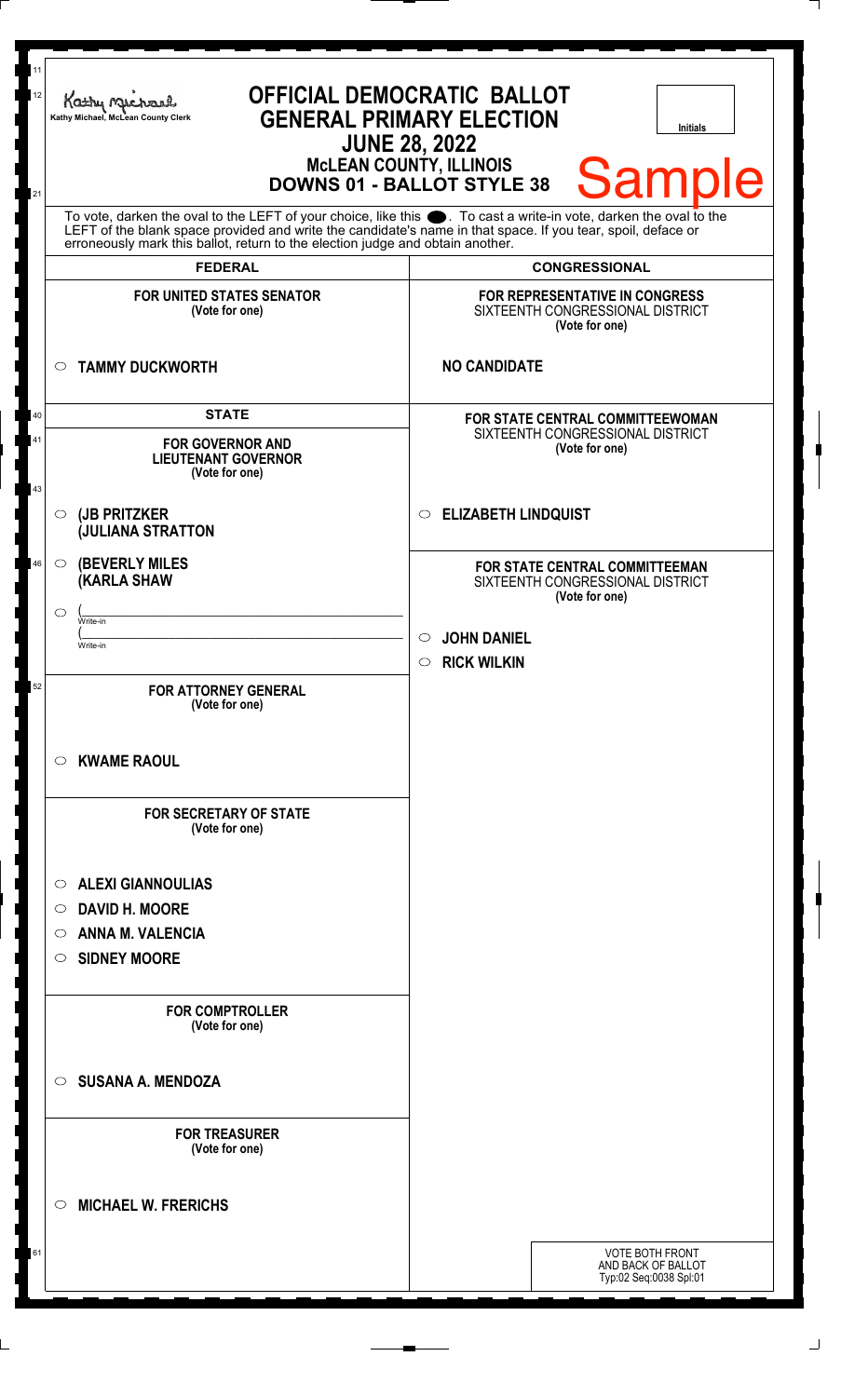|          | <b>OFFICIAL DEMOCRATIC BALLOT</b><br>Kathy Me<br><b>GENERAL PRIMARY ELECTION</b><br>Kathy Michael, McLean County Clerk<br><b>Initials</b><br><b>JUNE 28, 2022</b><br><b>MCLEAN COUNTY, ILLINOIS</b><br><b>Sample</b><br><b>DOWNS 01 - BALLOT STYLE 38</b>                                                              |                                                                                             |  |
|----------|------------------------------------------------------------------------------------------------------------------------------------------------------------------------------------------------------------------------------------------------------------------------------------------------------------------------|---------------------------------------------------------------------------------------------|--|
|          | To vote, darken the oval to the LEFT of your choice, like this $\bullet$ . To cast a write-in vote, darken the oval to the LEFT of the blank space provided and write the candidate's name in that space. If you tear, spoil, deface<br>erroneously mark this ballot, return to the election judge and obtain another. |                                                                                             |  |
|          | <b>FEDERAL</b>                                                                                                                                                                                                                                                                                                         | <b>CONGRESSIONAL</b>                                                                        |  |
|          | <b>FOR UNITED STATES SENATOR</b><br>(Vote for one)                                                                                                                                                                                                                                                                     | <b>FOR REPRESENTATIVE IN CONGRESS</b><br>SIXTEENTH CONGRESSIONAL DISTRICT<br>(Vote for one) |  |
|          | <b>TAMMY DUCKWORTH</b><br>$\circ$                                                                                                                                                                                                                                                                                      | <b>NO CANDIDATE</b>                                                                         |  |
| 40       | <b>STATE</b>                                                                                                                                                                                                                                                                                                           | FOR STATE CENTRAL COMMITTEEWOMAN                                                            |  |
| 41<br>43 | <b>FOR GOVERNOR AND</b><br><b>LIEUTENANT GOVERNOR</b><br>(Vote for one)                                                                                                                                                                                                                                                | SIXTEENTH CONGRESSIONAL DISTRICT<br>(Vote for one)                                          |  |
|          | (JB PRITZKER<br>$\circ$<br><b>JULIANA STRATTON</b>                                                                                                                                                                                                                                                                     | <b>ELIZABETH LINDQUIST</b><br>$\circ$                                                       |  |
| 46       | <b>(BEVERLY MILES)</b><br>$\circ$<br><b>(KARLA SHAW</b>                                                                                                                                                                                                                                                                | FOR STATE CENTRAL COMMITTEEMAN<br>SIXTEENTH CONGRESSIONAL DISTRICT<br>(Vote for one)        |  |
|          | $\circlearrowright$<br>Write-in                                                                                                                                                                                                                                                                                        |                                                                                             |  |
|          | Write-in                                                                                                                                                                                                                                                                                                               | <b>JOHN DANIEL</b><br>$\circ$                                                               |  |
|          |                                                                                                                                                                                                                                                                                                                        | <b>RICK WILKIN</b><br>$\bigcirc$                                                            |  |
| 52       | <b>FOR ATTORNEY GENERAL</b><br>(Vote for one)                                                                                                                                                                                                                                                                          |                                                                                             |  |
|          | <b>KWAME RAOUL</b><br>$\circ$                                                                                                                                                                                                                                                                                          |                                                                                             |  |
|          | <b>FOR SECRETARY OF STATE</b><br>(Vote for one)                                                                                                                                                                                                                                                                        |                                                                                             |  |
|          | <b>ALEXI GIANNOULIAS</b><br>$\circ$                                                                                                                                                                                                                                                                                    |                                                                                             |  |
|          | <b>DAVID H. MOORE</b><br>$\circ$                                                                                                                                                                                                                                                                                       |                                                                                             |  |
|          | <b>ANNA M. VALENCIA</b><br>O                                                                                                                                                                                                                                                                                           |                                                                                             |  |
|          | <b>SIDNEY MOORE</b><br>$\circ$                                                                                                                                                                                                                                                                                         |                                                                                             |  |
|          | <b>FOR COMPTROLLER</b><br>(Vote for one)                                                                                                                                                                                                                                                                               |                                                                                             |  |
|          | <b>SUSANA A. MENDOZA</b><br>$\circ$                                                                                                                                                                                                                                                                                    |                                                                                             |  |
|          | <b>FOR TREASURER</b><br>(Vote for one)                                                                                                                                                                                                                                                                                 |                                                                                             |  |
|          | <b>MICHAEL W. FRERICHS</b><br>◯                                                                                                                                                                                                                                                                                        |                                                                                             |  |
| 61       |                                                                                                                                                                                                                                                                                                                        | <b>VOTE BOTH FRONT</b><br>AND BACK OF BALLOT<br>Typ:02 Seq:0038 Spl:01                      |  |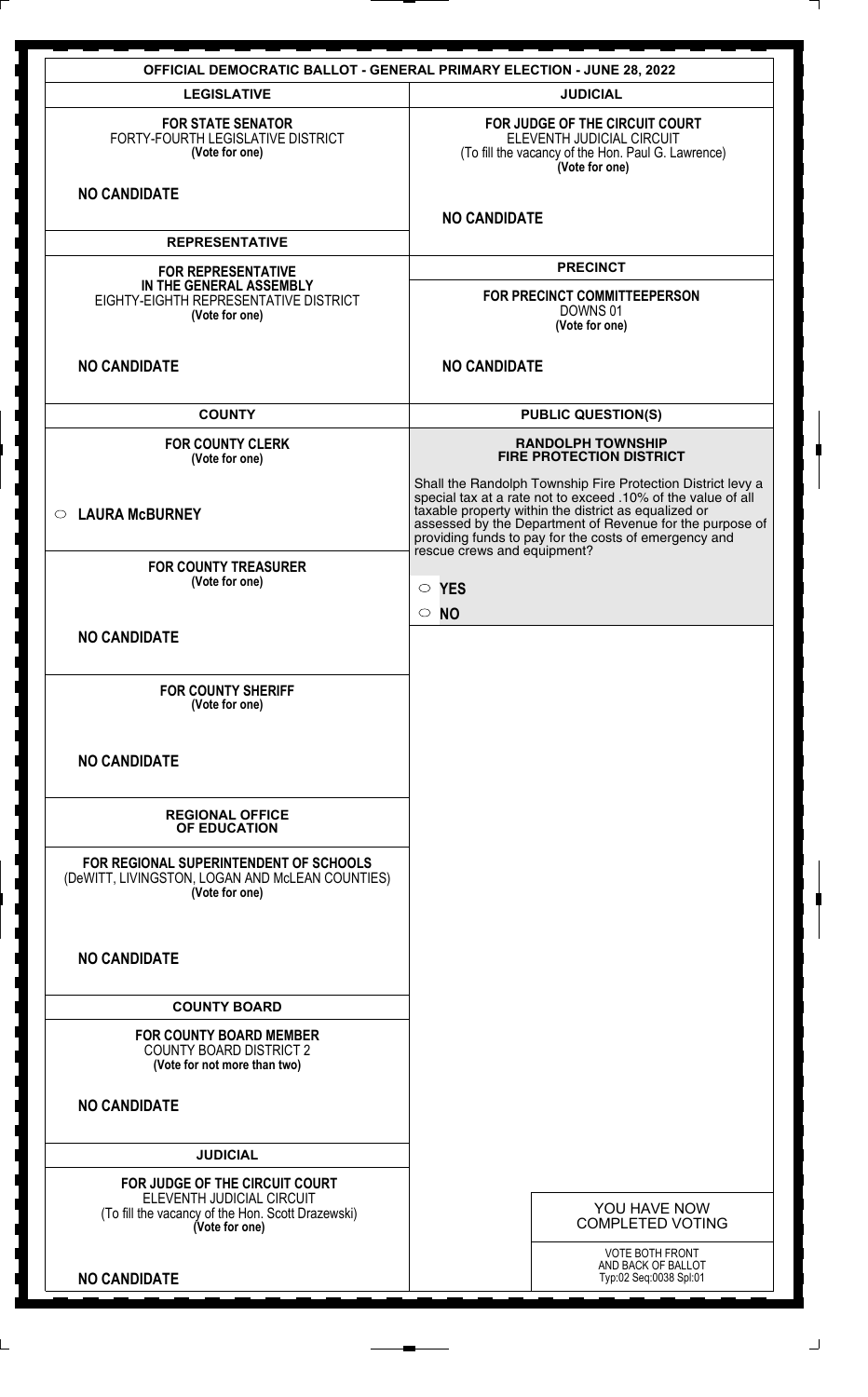|                                                                                                                  | <b>OFFICIAL DEMOCRATIC BALLOT - GENERAL PRIMARY ELECTION - JUNE 28, 2022</b>                                                                                                                                                                                                                                                            |
|------------------------------------------------------------------------------------------------------------------|-----------------------------------------------------------------------------------------------------------------------------------------------------------------------------------------------------------------------------------------------------------------------------------------------------------------------------------------|
| <b>LEGISLATIVE</b>                                                                                               | <b>JUDICIAL</b>                                                                                                                                                                                                                                                                                                                         |
| <b>FOR STATE SENATOR</b><br>FORTY-FOURTH LEGISLATIVE DISTRICT<br>(Vote for one)                                  | FOR JUDGE OF THE CIRCUIT COURT<br>ELEVENTH JUDICIAL CIRCUIT<br>(To fill the vacancy of the Hon. Paul G. Lawrence)<br>(Vote for one)                                                                                                                                                                                                     |
| <b>NO CANDIDATE</b>                                                                                              | <b>NO CANDIDATE</b>                                                                                                                                                                                                                                                                                                                     |
| <b>REPRESENTATIVE</b>                                                                                            |                                                                                                                                                                                                                                                                                                                                         |
| <b>FOR REPRESENTATIVE</b>                                                                                        | <b>PRECINCT</b>                                                                                                                                                                                                                                                                                                                         |
| IN THE GENERAL ASSEMBLY<br>EIGHTY-EIGHTH REPRESENTATIVE DISTRICT<br>(Vote for one)                               | FOR PRECINCT COMMITTEEPERSON<br>DOWNS 01<br>(Vote for one)                                                                                                                                                                                                                                                                              |
| <b>NO CANDIDATE</b>                                                                                              | <b>NO CANDIDATE</b>                                                                                                                                                                                                                                                                                                                     |
| <b>COUNTY</b>                                                                                                    | <b>PUBLIC QUESTION(S)</b>                                                                                                                                                                                                                                                                                                               |
| <b>FOR COUNTY CLERK</b><br>(Vote for one)                                                                        | <b>RANDOLPH TOWNSHIP</b><br><b>FIRE PROTECTION DISTRICT</b>                                                                                                                                                                                                                                                                             |
| <b>LAURA McBURNEY</b><br>$\circ$                                                                                 | Shall the Randolph Township Fire Protection District levy a<br>special tax at a rate not to exceed .10% of the value of all<br>taxable property within the district as equalized or<br>assessed by the Department of Revenue for the purpose of<br>providing funds to pay for the costs of emergency and<br>rescue crews and equipment? |
| <b>FOR COUNTY TREASURER</b>                                                                                      |                                                                                                                                                                                                                                                                                                                                         |
| (Vote for one)                                                                                                   | $\circ$ YES                                                                                                                                                                                                                                                                                                                             |
| <b>NO CANDIDATE</b>                                                                                              | $\circ$ NO                                                                                                                                                                                                                                                                                                                              |
| <b>FOR COUNTY SHERIFF</b><br>(Vote for one)                                                                      |                                                                                                                                                                                                                                                                                                                                         |
| <b>NO CANDIDATE</b>                                                                                              |                                                                                                                                                                                                                                                                                                                                         |
| <b>REGIONAL OFFICE</b><br>OF EDUCATION                                                                           |                                                                                                                                                                                                                                                                                                                                         |
| FOR REGIONAL SUPERINTENDENT OF SCHOOLS<br>(DeWITT, LIVINGSTON, LOGAN AND McLEAN COUNTIES)<br>(Vote for one)      |                                                                                                                                                                                                                                                                                                                                         |
| <b>NO CANDIDATE</b>                                                                                              |                                                                                                                                                                                                                                                                                                                                         |
| <b>COUNTY BOARD</b>                                                                                              |                                                                                                                                                                                                                                                                                                                                         |
| <b>FOR COUNTY BOARD MEMBER</b><br><b>COUNTY BOARD DISTRICT 2</b><br>(Vote for not more than two)                 |                                                                                                                                                                                                                                                                                                                                         |
| <b>NO CANDIDATE</b>                                                                                              |                                                                                                                                                                                                                                                                                                                                         |
| <b>JUDICIAL</b>                                                                                                  |                                                                                                                                                                                                                                                                                                                                         |
| FOR JUDGE OF THE CIRCUIT COURT<br>ELEVENTH JUDICIAL CIRCUIT<br>(To fill the vacancy of the Hon. Scott Drazewski) | YOU HAVE NOW<br><b>COMPLETED VOTING</b>                                                                                                                                                                                                                                                                                                 |
| (Vote for one)                                                                                                   |                                                                                                                                                                                                                                                                                                                                         |
| <b>NO CANDIDATE</b>                                                                                              | VOTE BOTH FRONT<br>AND BACK OF BALLOT<br>Typ:02 Seq:0038 Spl:01                                                                                                                                                                                                                                                                         |
|                                                                                                                  |                                                                                                                                                                                                                                                                                                                                         |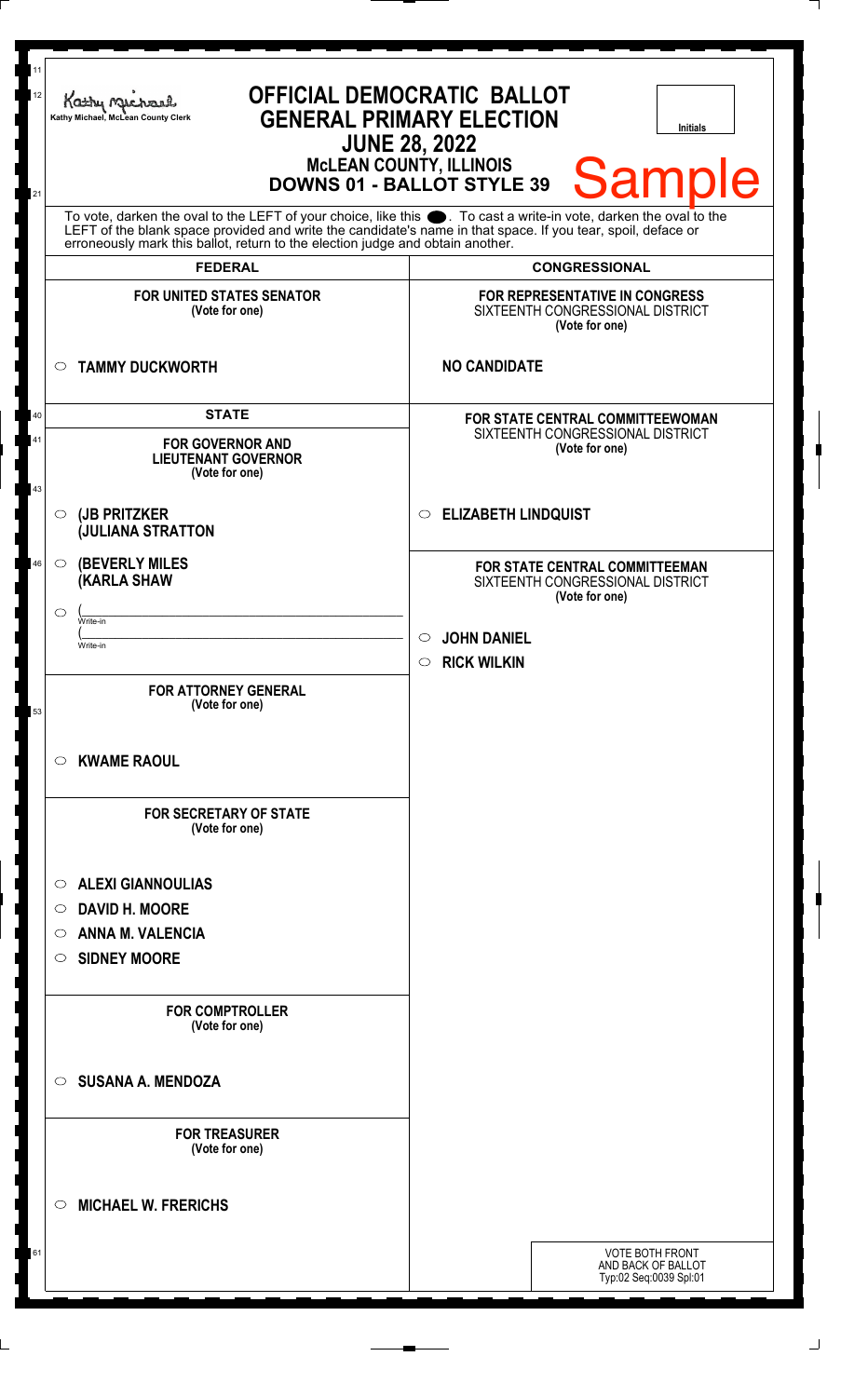| To vote, darken the oval to the LEFT of your choice, like this $\bullet$ . To cast a write-in vote, darken the oval to the LEFT of the blank space provided and write the candidate's name in that space. If you tear, spoil, deface<br>erroneously mark this ballot, return to the election judge and obtain another.<br><b>CONGRESSIONAL</b><br><b>FEDERAL</b><br>FOR REPRESENTATIVE IN CONGRESS<br><b>FOR UNITED STATES SENATOR</b><br>SIXTEENTH CONGRESSIONAL DISTRICT<br>(Vote for one)<br>(Vote for one)<br><b>NO CANDIDATE</b><br><b>TAMMY DUCKWORTH</b><br>$\circ$<br><b>STATE</b><br>40<br><b>FOR STATE CENTRAL COMMITTEEWOMAN</b><br>SIXTEENTH CONGRESSIONAL DISTRICT<br>41<br><b>FOR GOVERNOR AND</b><br>(Vote for one)<br><b>LIEUTENANT GOVERNOR</b><br>(Vote for one)<br>43<br><b>ELIZABETH LINDQUIST</b><br>(JB PRITZKER<br>$\circ$<br>$\circ$<br><b>JULIANA STRATTON</b><br><b>(BEVERLY MILES)</b><br>46<br>$\circ$<br>FOR STATE CENTRAL COMMITTEEMAN<br><b>(KARLA SHAW</b><br>SIXTEENTH CONGRESSIONAL DISTRICT<br>(Vote for one)<br>$\circlearrowright$<br>Write-in<br><b>JOHN DANIEL</b><br>$\circ$<br>Write-in<br>$\circ$ RICK WILKIN<br><b>FOR ATTORNEY GENERAL</b><br>(Vote for one)<br>53<br><b>KWAME RAOUL</b><br>C).<br><b>FOR SECRETARY OF STATE</b><br>(Vote for one)<br><b>ALEXI GIANNOULIAS</b><br>O<br><b>DAVID H. MOORE</b><br>$\circ$<br><b>ANNA M. VALENCIA</b><br>O<br><b>SIDNEY MOORE</b><br>O<br><b>FOR COMPTROLLER</b><br>(Vote for one)<br><b>SUSANA A. MENDOZA</b><br>$\circ$<br><b>FOR TREASURER</b><br>(Vote for one)<br><b>MICHAEL W. FRERICHS</b><br>◯ | 11<br>12<br>21 | <b>OFFICIAL DEMOCRATIC BALLOT</b><br>Kathy Michael<br><b>GENERAL PRIMARY ELECTION</b><br>Kathy Michael, McLean County Clerk<br><b>Initials</b><br><b>JUNE 28, 2022</b><br><b>MCLEAN COUNTY, ILLINOIS</b><br><b>Sample</b><br><b>DOWNS 01 - BALLOT STYLE 39</b> |  |  |
|-------------------------------------------------------------------------------------------------------------------------------------------------------------------------------------------------------------------------------------------------------------------------------------------------------------------------------------------------------------------------------------------------------------------------------------------------------------------------------------------------------------------------------------------------------------------------------------------------------------------------------------------------------------------------------------------------------------------------------------------------------------------------------------------------------------------------------------------------------------------------------------------------------------------------------------------------------------------------------------------------------------------------------------------------------------------------------------------------------------------------------------------------------------------------------------------------------------------------------------------------------------------------------------------------------------------------------------------------------------------------------------------------------------------------------------------------------------------------------------------------------------------------------------------------------------------------------------------------|----------------|----------------------------------------------------------------------------------------------------------------------------------------------------------------------------------------------------------------------------------------------------------------|--|--|
|                                                                                                                                                                                                                                                                                                                                                                                                                                                                                                                                                                                                                                                                                                                                                                                                                                                                                                                                                                                                                                                                                                                                                                                                                                                                                                                                                                                                                                                                                                                                                                                                 |                |                                                                                                                                                                                                                                                                |  |  |
|                                                                                                                                                                                                                                                                                                                                                                                                                                                                                                                                                                                                                                                                                                                                                                                                                                                                                                                                                                                                                                                                                                                                                                                                                                                                                                                                                                                                                                                                                                                                                                                                 |                |                                                                                                                                                                                                                                                                |  |  |
|                                                                                                                                                                                                                                                                                                                                                                                                                                                                                                                                                                                                                                                                                                                                                                                                                                                                                                                                                                                                                                                                                                                                                                                                                                                                                                                                                                                                                                                                                                                                                                                                 |                |                                                                                                                                                                                                                                                                |  |  |
|                                                                                                                                                                                                                                                                                                                                                                                                                                                                                                                                                                                                                                                                                                                                                                                                                                                                                                                                                                                                                                                                                                                                                                                                                                                                                                                                                                                                                                                                                                                                                                                                 |                |                                                                                                                                                                                                                                                                |  |  |
|                                                                                                                                                                                                                                                                                                                                                                                                                                                                                                                                                                                                                                                                                                                                                                                                                                                                                                                                                                                                                                                                                                                                                                                                                                                                                                                                                                                                                                                                                                                                                                                                 |                |                                                                                                                                                                                                                                                                |  |  |
|                                                                                                                                                                                                                                                                                                                                                                                                                                                                                                                                                                                                                                                                                                                                                                                                                                                                                                                                                                                                                                                                                                                                                                                                                                                                                                                                                                                                                                                                                                                                                                                                 |                |                                                                                                                                                                                                                                                                |  |  |
|                                                                                                                                                                                                                                                                                                                                                                                                                                                                                                                                                                                                                                                                                                                                                                                                                                                                                                                                                                                                                                                                                                                                                                                                                                                                                                                                                                                                                                                                                                                                                                                                 |                |                                                                                                                                                                                                                                                                |  |  |
|                                                                                                                                                                                                                                                                                                                                                                                                                                                                                                                                                                                                                                                                                                                                                                                                                                                                                                                                                                                                                                                                                                                                                                                                                                                                                                                                                                                                                                                                                                                                                                                                 |                |                                                                                                                                                                                                                                                                |  |  |
|                                                                                                                                                                                                                                                                                                                                                                                                                                                                                                                                                                                                                                                                                                                                                                                                                                                                                                                                                                                                                                                                                                                                                                                                                                                                                                                                                                                                                                                                                                                                                                                                 |                |                                                                                                                                                                                                                                                                |  |  |
|                                                                                                                                                                                                                                                                                                                                                                                                                                                                                                                                                                                                                                                                                                                                                                                                                                                                                                                                                                                                                                                                                                                                                                                                                                                                                                                                                                                                                                                                                                                                                                                                 |                |                                                                                                                                                                                                                                                                |  |  |
|                                                                                                                                                                                                                                                                                                                                                                                                                                                                                                                                                                                                                                                                                                                                                                                                                                                                                                                                                                                                                                                                                                                                                                                                                                                                                                                                                                                                                                                                                                                                                                                                 |                |                                                                                                                                                                                                                                                                |  |  |
|                                                                                                                                                                                                                                                                                                                                                                                                                                                                                                                                                                                                                                                                                                                                                                                                                                                                                                                                                                                                                                                                                                                                                                                                                                                                                                                                                                                                                                                                                                                                                                                                 |                |                                                                                                                                                                                                                                                                |  |  |
|                                                                                                                                                                                                                                                                                                                                                                                                                                                                                                                                                                                                                                                                                                                                                                                                                                                                                                                                                                                                                                                                                                                                                                                                                                                                                                                                                                                                                                                                                                                                                                                                 |                |                                                                                                                                                                                                                                                                |  |  |
|                                                                                                                                                                                                                                                                                                                                                                                                                                                                                                                                                                                                                                                                                                                                                                                                                                                                                                                                                                                                                                                                                                                                                                                                                                                                                                                                                                                                                                                                                                                                                                                                 |                |                                                                                                                                                                                                                                                                |  |  |
|                                                                                                                                                                                                                                                                                                                                                                                                                                                                                                                                                                                                                                                                                                                                                                                                                                                                                                                                                                                                                                                                                                                                                                                                                                                                                                                                                                                                                                                                                                                                                                                                 |                |                                                                                                                                                                                                                                                                |  |  |
|                                                                                                                                                                                                                                                                                                                                                                                                                                                                                                                                                                                                                                                                                                                                                                                                                                                                                                                                                                                                                                                                                                                                                                                                                                                                                                                                                                                                                                                                                                                                                                                                 |                |                                                                                                                                                                                                                                                                |  |  |
|                                                                                                                                                                                                                                                                                                                                                                                                                                                                                                                                                                                                                                                                                                                                                                                                                                                                                                                                                                                                                                                                                                                                                                                                                                                                                                                                                                                                                                                                                                                                                                                                 |                |                                                                                                                                                                                                                                                                |  |  |
|                                                                                                                                                                                                                                                                                                                                                                                                                                                                                                                                                                                                                                                                                                                                                                                                                                                                                                                                                                                                                                                                                                                                                                                                                                                                                                                                                                                                                                                                                                                                                                                                 |                |                                                                                                                                                                                                                                                                |  |  |
|                                                                                                                                                                                                                                                                                                                                                                                                                                                                                                                                                                                                                                                                                                                                                                                                                                                                                                                                                                                                                                                                                                                                                                                                                                                                                                                                                                                                                                                                                                                                                                                                 |                |                                                                                                                                                                                                                                                                |  |  |
| <b>VOTE BOTH FRONT</b><br>61<br>AND BACK OF BALLOT<br>Typ:02 Seq:0039 Spl:01                                                                                                                                                                                                                                                                                                                                                                                                                                                                                                                                                                                                                                                                                                                                                                                                                                                                                                                                                                                                                                                                                                                                                                                                                                                                                                                                                                                                                                                                                                                    |                |                                                                                                                                                                                                                                                                |  |  |

 $\perp$